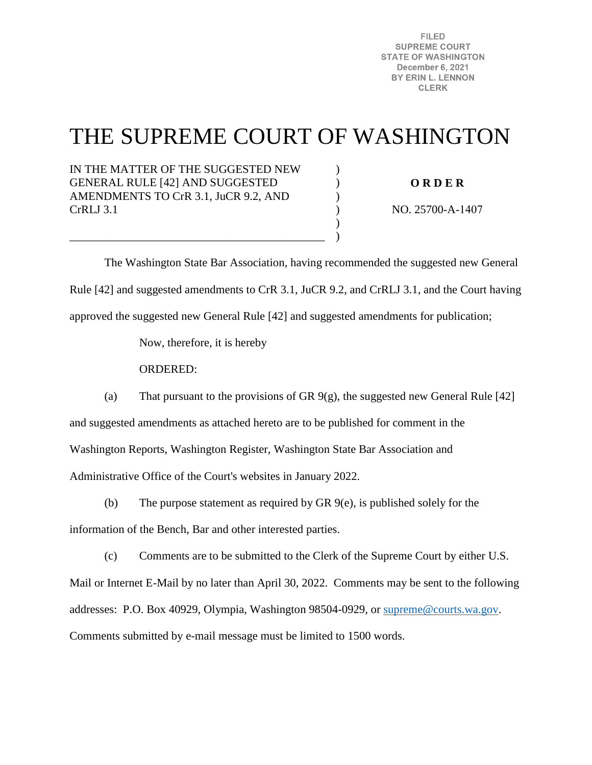**FILED SUPREME COURT STATE OF WASHINGTON** December 6, 2021 BY ERIN L. LENNON **CLERK** 

# THE SUPREME COURT OF WASHINGTON

 $\mathcal{L}$  $\mathcal{L}$ )  $\lambda$ ) )

IN THE MATTER OF THE SUGGESTED NEW GENERAL RULE [42] AND SUGGESTED AMENDMENTS TO CrR 3.1, JuCR 9.2, AND CrRLJ 3.1

\_\_\_\_\_\_\_\_\_\_\_\_\_\_\_\_\_\_\_\_\_\_\_\_\_\_\_\_\_\_\_\_\_\_\_\_\_\_\_\_\_\_\_\_

**O R D E R** 

NO. 25700-A-1407

 The Washington State Bar Association, having recommended the suggested new General Rule [42] and suggested amendments to CrR 3.1, JuCR 9.2, and CrRLJ 3.1, and the Court having approved the suggested new General Rule [42] and suggested amendments for publication;

Now, therefore, it is hereby

ORDERED:

(a) That pursuant to the provisions of GR  $9(g)$ , the suggested new General Rule [42]

and suggested amendments as attached hereto are to be published for comment in the

Washington Reports, Washington Register, Washington State Bar Association and

Administrative Office of the Court's websites in January 2022.

(b) The purpose statement as required by GR 9(e), is published solely for the

information of the Bench, Bar and other interested parties.

(c) Comments are to be submitted to the Clerk of the Supreme Court by either U.S.

Mail or Internet E-Mail by no later than April 30, 2022. Comments may be sent to the following addresses: P.O. Box 40929, Olympia, Washington 98504-0929, or [supreme@courts.wa.gov.](mailto:supreme@courts.wa.gov) Comments submitted by e-mail message must be limited to 1500 words.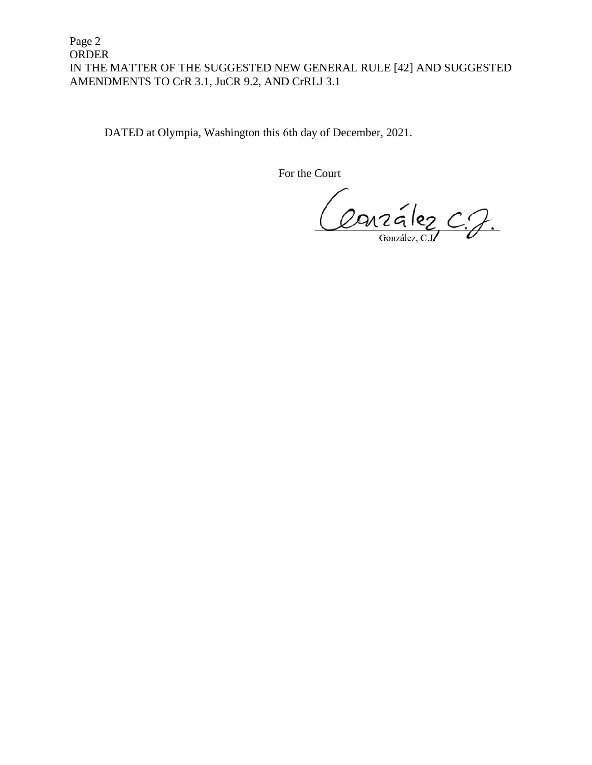Page 2 ORDER IN THE MATTER OF THE SUGGESTED NEW GENERAL RULE [42] AND SUGGESTED AMENDMENTS TO CrR 3.1, JuCR 9.2, AND CrRLJ 3.1

DATED at Olympia, Washington this 6th day of December, 2021.

For the Court

Conzález C.J.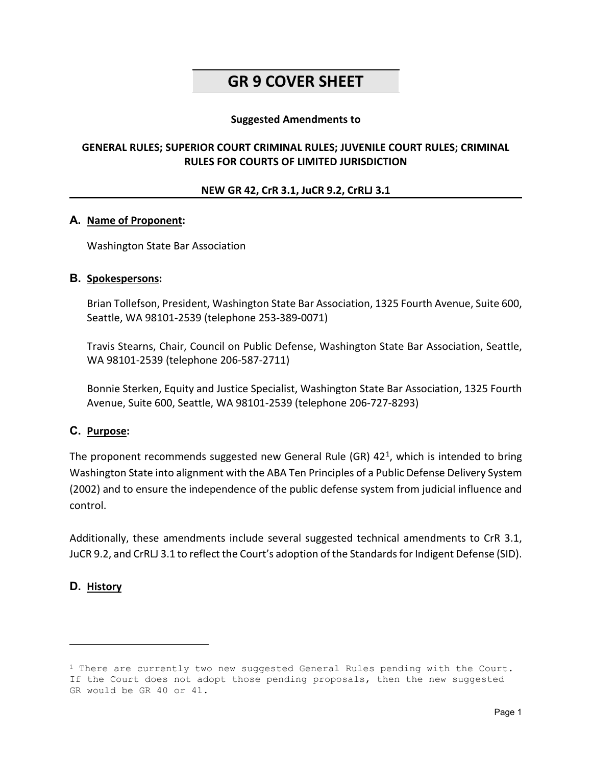## **GR 9 COVER SHEET**

#### **Suggested Amendments to**

#### **GENERAL RULES; SUPERIOR COURT CRIMINAL RULES; JUVENILE COURT RULES; CRIMINAL RULES FOR COURTS OF LIMITED JURISDICTION**

#### **NEW GR 42, CrR 3.1, JuCR 9.2, CrRLJ 3.1**

#### **A. Name of Proponent:**

Washington State Bar Association

#### **B. Spokespersons:**

Brian Tollefson, President, Washington State Bar Association, 1325 Fourth Avenue, Suite 600, Seattle, WA 98101-2539 (telephone 253-389-0071)

Travis Stearns, Chair, Council on Public Defense, Washington State Bar Association, Seattle, WA 98101-2539 (telephone 206-587-2711)

Bonnie Sterken, Equity and Justice Specialist, Washington State Bar Association, 1325 Fourth Avenue, Suite 600, Seattle, WA 98101-2539 (telephone 206-727-8293)

#### **C. Purpose:**

The proponent recommends suggested new General Rule (GR)  $42<sup>1</sup>$  $42<sup>1</sup>$  $42<sup>1</sup>$ , which is intended to bring Washington State into alignment with the ABA Ten Principles of a Public Defense Delivery System (2002) and to ensure the independence of the public defense system from judicial influence and control.

Additionally, these amendments include several suggested technical amendments to CrR 3.1, JuCR 9.2, and CrRLJ 3.1 to reflect the Court's adoption of the Standards for Indigent Defense (SID).

#### **D. History**

Ĩ.

<span id="page-2-0"></span> $1$  There are currently two new suggested General Rules pending with the Court. If the Court does not adopt those pending proposals, then the new suggested GR would be GR 40 or 41.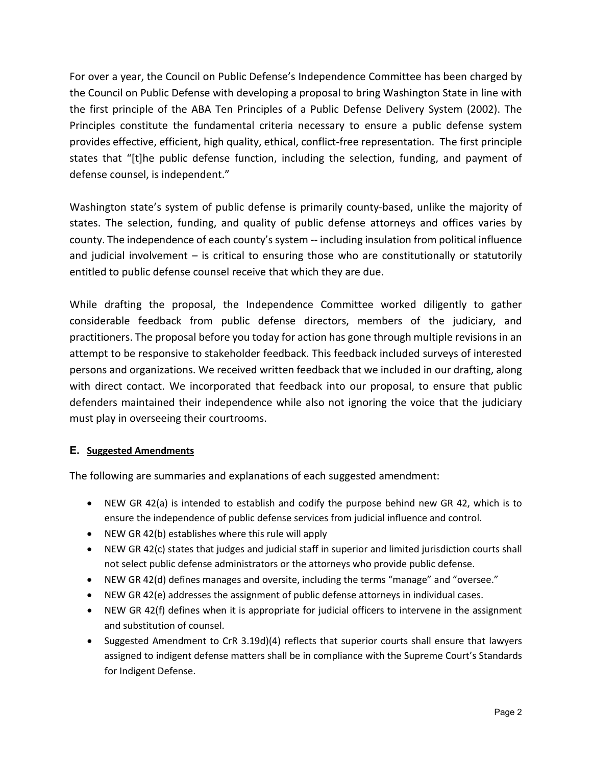For over a year, the Council on Public Defense's Independence Committee has been charged by the Council on Public Defense with developing a proposal to bring Washington State in line with the first principle of the ABA Ten Principles of a Public Defense Delivery System (2002). The Principles constitute the fundamental criteria necessary to ensure a public defense system provides effective, efficient, high quality, ethical, conflict-free representation. The first principle states that "[t]he public defense function, including the selection, funding, and payment of defense counsel, is independent."

Washington state's system of public defense is primarily county-based, unlike the majority of states. The selection, funding, and quality of public defense attorneys and offices varies by county. The independence of each county's system -- including insulation from political influence and judicial involvement – is critical to ensuring those who are constitutionally or statutorily entitled to public defense counsel receive that which they are due.

While drafting the proposal, the Independence Committee worked diligently to gather considerable feedback from public defense directors, members of the judiciary, and practitioners. The proposal before you today for action has gone through multiple revisions in an attempt to be responsive to stakeholder feedback. This feedback included surveys of interested persons and organizations. We received written feedback that we included in our drafting, along with direct contact. We incorporated that feedback into our proposal, to ensure that public defenders maintained their independence while also not ignoring the voice that the judiciary must play in overseeing their courtrooms.

#### **E. Suggested Amendments**

The following are summaries and explanations of each suggested amendment:

- NEW GR 42(a) is intended to establish and codify the purpose behind new GR 42, which is to ensure the independence of public defense services from judicial influence and control.
- NEW GR 42(b) establishes where this rule will apply
- NEW GR 42(c) states that judges and judicial staff in superior and limited jurisdiction courts shall not select public defense administrators or the attorneys who provide public defense.
- NEW GR 42(d) defines manages and oversite, including the terms "manage" and "oversee."
- NEW GR 42(e) addresses the assignment of public defense attorneys in individual cases.
- NEW GR 42(f) defines when it is appropriate for judicial officers to intervene in the assignment and substitution of counsel.
- Suggested Amendment to CrR 3.19d)(4) reflects that superior courts shall ensure that lawyers assigned to indigent defense matters shall be in compliance with the Supreme Court's Standards for Indigent Defense.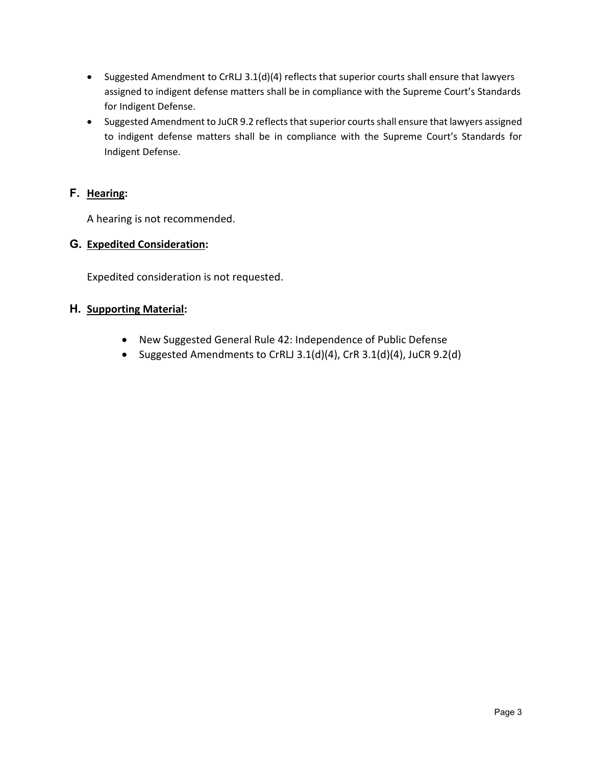- Suggested Amendment to CrRLJ 3.1(d)(4) reflects that superior courts shall ensure that lawyers assigned to indigent defense matters shall be in compliance with the Supreme Court's Standards for Indigent Defense.
- Suggested Amendment to JuCR 9.2 reflects that superior courts shall ensure that lawyers assigned to indigent defense matters shall be in compliance with the Supreme Court's Standards for Indigent Defense.

### **F. Hearing:**

A hearing is not recommended.

#### **G. Expedited Consideration:**

Expedited consideration is not requested.

#### **H. Supporting Material:**

- New Suggested General Rule 42: Independence of Public Defense
- Suggested Amendments to CrRLJ 3.1(d)(4), CrR 3.1(d)(4), JuCR 9.2(d)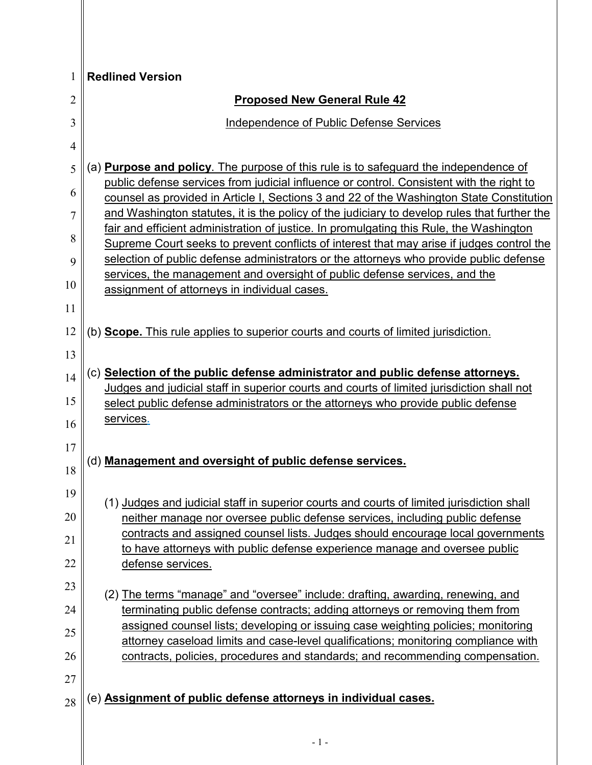| 1              | <b>Redlined Version</b>                                                                                                                                                              |
|----------------|--------------------------------------------------------------------------------------------------------------------------------------------------------------------------------------|
| $\overline{2}$ | <b>Proposed New General Rule 42</b>                                                                                                                                                  |
| 3              | Independence of Public Defense Services                                                                                                                                              |
| 4              |                                                                                                                                                                                      |
| 5              | (a) <b>Purpose and policy</b> . The purpose of this rule is to safeguard the independence of                                                                                         |
| 6              | public defense services from judicial influence or control. Consistent with the right to<br>counsel as provided in Article I, Sections 3 and 22 of the Washington State Constitution |
| $\overline{7}$ | and Washington statutes, it is the policy of the judiciary to develop rules that further the                                                                                         |
| 8              | fair and efficient administration of justice. In promulgating this Rule, the Washington<br>Supreme Court seeks to prevent conflicts of interest that may arise if judges control the |
| 9              | selection of public defense administrators or the attorneys who provide public defense                                                                                               |
| 10             | services, the management and oversight of public defense services, and the                                                                                                           |
| 11             | assignment of attorneys in individual cases.                                                                                                                                         |
| 12             |                                                                                                                                                                                      |
|                | (b) <b>Scope.</b> This rule applies to superior courts and courts of limited jurisdiction.                                                                                           |
| 13             | (c) Selection of the public defense administrator and public defense attorneys.                                                                                                      |
| 14             | Judges and judicial staff in superior courts and courts of limited jurisdiction shall not                                                                                            |
| 15             | select public defense administrators or the attorneys who provide public defense                                                                                                     |
| 16             | services.                                                                                                                                                                            |
| 17             |                                                                                                                                                                                      |
| 18             | (d) Management and oversight of public defense services.                                                                                                                             |
| 19             | (1) Judges and judicial staff in superior courts and courts of limited jurisdiction shall                                                                                            |
| 20             | neither manage nor oversee public defense services, including public defense                                                                                                         |
| 21             | contracts and assigned counsel lists. Judges should encourage local governments                                                                                                      |
| 22             | to have attorneys with public defense experience manage and oversee public<br>defense services.                                                                                      |
| 23             |                                                                                                                                                                                      |
| 24             | (2) The terms "manage" and "oversee" include: drafting, awarding, renewing, and<br>terminating public defense contracts; adding attorneys or removing them from                      |
| 25             | assigned counsel lists; developing or issuing case weighting policies; monitoring                                                                                                    |
|                | attorney caseload limits and case-level qualifications; monitoring compliance with                                                                                                   |
| 26             | contracts, policies, procedures and standards; and recommending compensation.                                                                                                        |
| 27             |                                                                                                                                                                                      |
| 28             | (e) <b>Assignment of public defense attorneys in individual cases.</b>                                                                                                               |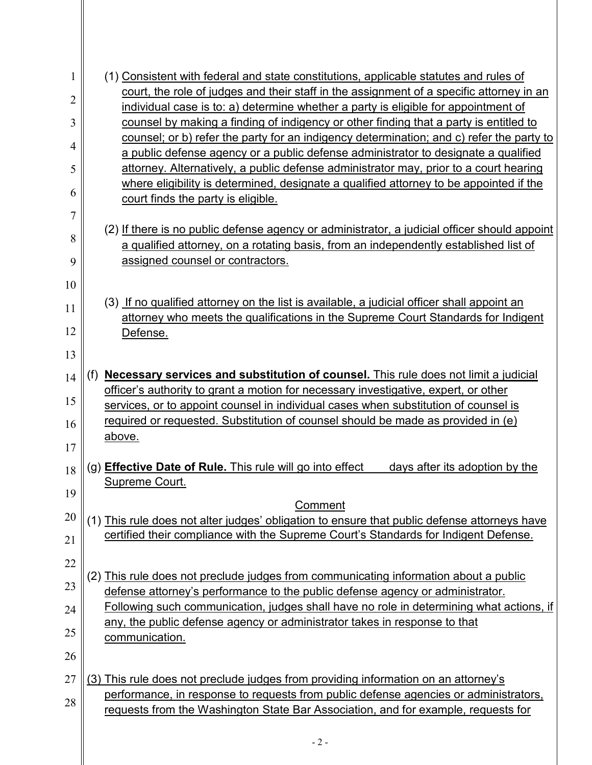| 1              | (1) Consistent with federal and state constitutions, applicable statutes and rules of                                                                                           |
|----------------|---------------------------------------------------------------------------------------------------------------------------------------------------------------------------------|
| $\overline{c}$ | court, the role of judges and their staff in the assignment of a specific attorney in an                                                                                        |
| 3              | individual case is to: a) determine whether a party is eligible for appointment of<br>counsel by making a finding of indigency or other finding that a party is entitled to     |
|                | counsel; or b) refer the party for an indigency determination; and c) refer the party to                                                                                        |
| 4              | a public defense agency or a public defense administrator to designate a qualified                                                                                              |
| 5              | attorney. Alternatively, a public defense administrator may, prior to a court hearing                                                                                           |
| 6              | where eligibility is determined, designate a qualified attorney to be appointed if the<br>court finds the party is eligible.                                                    |
| 7              |                                                                                                                                                                                 |
| 8              | (2) If there is no public defense agency or administrator, a judicial officer should appoint                                                                                    |
|                | a qualified attorney, on a rotating basis, from an independently established list of                                                                                            |
| 9              | assigned counsel or contractors.                                                                                                                                                |
| 10             |                                                                                                                                                                                 |
| 11             | (3) If no qualified attorney on the list is available, a judicial officer shall appoint an<br>attorney who meets the qualifications in the Supreme Court Standards for Indigent |
| 12             | Defense.                                                                                                                                                                        |
| 13             |                                                                                                                                                                                 |
| 14             | Necessary services and substitution of counsel. This rule does not limit a judicial<br>(f)                                                                                      |
|                | officer's authority to grant a motion for necessary investigative, expert, or other                                                                                             |
| 15             | services, or to appoint counsel in individual cases when substitution of counsel is                                                                                             |
| 16             | required or requested. Substitution of counsel should be made as provided in (e)                                                                                                |
| 17             | above.                                                                                                                                                                          |
| 18             | (g) Effective Date of Rule. This rule will go into effect<br>days after its adoption by the                                                                                     |
| 19             | Supreme Court.                                                                                                                                                                  |
|                | Comment                                                                                                                                                                         |
| 20             | (1) This rule does not alter judges' obligation to ensure that public defense attorneys have                                                                                    |
| 21             | certified their compliance with the Supreme Court's Standards for Indigent Defense.                                                                                             |
| 22             |                                                                                                                                                                                 |
| 23             | (2) This rule does not preclude judges from communicating information about a public<br>defense attorney's performance to the public defense agency or administrator.           |
| 24             | Following such communication, judges shall have no role in determining what actions, if                                                                                         |
| 25             | any, the public defense agency or administrator takes in response to that<br>communication.                                                                                     |
| 26             |                                                                                                                                                                                 |
| 27             | (3) This rule does not preclude judges from providing information on an attorney's                                                                                              |
|                | performance, in response to requests from public defense agencies or administrators,                                                                                            |
| 28             | requests from the Washington State Bar Association, and for example, requests for                                                                                               |
|                |                                                                                                                                                                                 |
|                | $-2-$                                                                                                                                                                           |
|                |                                                                                                                                                                                 |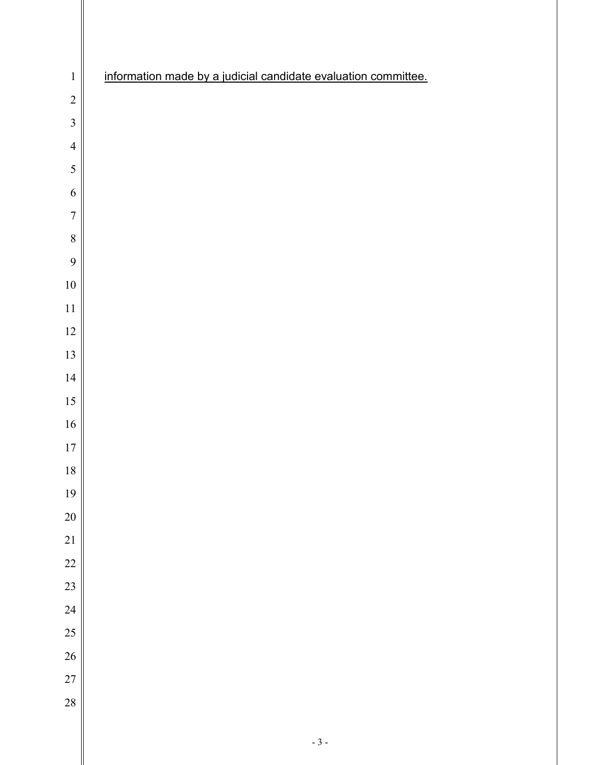| $\mathbf 1$    | information made by a judicial candidate evaluation committee. |
|----------------|----------------------------------------------------------------|
| $\overline{c}$ |                                                                |
| $\overline{3}$ |                                                                |
| $\overline{4}$ |                                                                |
| 5              |                                                                |
| 6              |                                                                |
| $\overline{7}$ |                                                                |
| 8              |                                                                |
| 9              |                                                                |
| $10\,$         |                                                                |
| 11             |                                                                |
| $12\,$         |                                                                |
| 13             |                                                                |
| 14             |                                                                |
| 15             |                                                                |
| $16\,$         |                                                                |
| $17\,$         |                                                                |
| $18\,$         |                                                                |
| 19             |                                                                |
| 20             |                                                                |
| 21             |                                                                |
| 22             |                                                                |
| 23             |                                                                |
| 24             |                                                                |
| 25             |                                                                |
| 26             |                                                                |
| 27             |                                                                |
| 28             |                                                                |
|                |                                                                |

II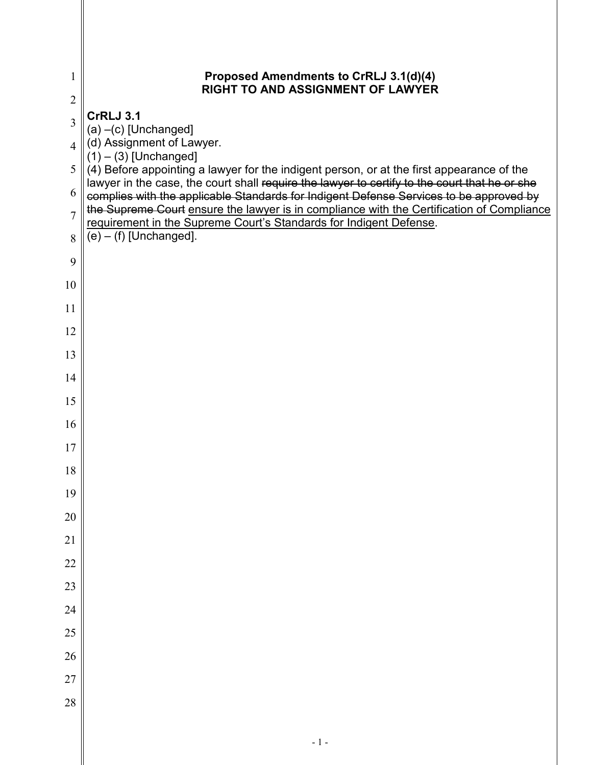| 1              | Proposed Amendments to CrRLJ 3.1(d)(4)<br>RIGHT TO AND ASSIGNMENT OF LAWYER                                                                                                                                                                                                          |
|----------------|--------------------------------------------------------------------------------------------------------------------------------------------------------------------------------------------------------------------------------------------------------------------------------------|
| $\sqrt{2}$     |                                                                                                                                                                                                                                                                                      |
| 3              | <b>CrRLJ 3.1</b><br>$(a)$ -(c) [Unchanged]                                                                                                                                                                                                                                           |
| $\overline{4}$ | (d) Assignment of Lawyer.<br>$(1) - (3)$ [Unchanged]                                                                                                                                                                                                                                 |
| 5              | (4) Before appointing a lawyer for the indigent person, or at the first appearance of the                                                                                                                                                                                            |
| 6              | lawyer in the case, the court shall require the lawyer to certify to the court that he or she<br>complies with the applicable Standards for Indigent Defense Services to be approved by<br>the Supreme Court ensure the lawyer is in compliance with the Certification of Compliance |
| $\overline{7}$ | requirement in the Supreme Court's Standards for Indigent Defense.                                                                                                                                                                                                                   |
| 8              | $(e) - (f)$ [Unchanged].                                                                                                                                                                                                                                                             |
| 9              |                                                                                                                                                                                                                                                                                      |
| 10             |                                                                                                                                                                                                                                                                                      |
| 11             |                                                                                                                                                                                                                                                                                      |
| 12             |                                                                                                                                                                                                                                                                                      |
| 13             |                                                                                                                                                                                                                                                                                      |
| 14             |                                                                                                                                                                                                                                                                                      |
| 15             |                                                                                                                                                                                                                                                                                      |
| 16             |                                                                                                                                                                                                                                                                                      |
| 17             |                                                                                                                                                                                                                                                                                      |
| 18             |                                                                                                                                                                                                                                                                                      |
| 19             |                                                                                                                                                                                                                                                                                      |
| 20             |                                                                                                                                                                                                                                                                                      |
| 21             |                                                                                                                                                                                                                                                                                      |
| 22             |                                                                                                                                                                                                                                                                                      |
| 23             |                                                                                                                                                                                                                                                                                      |
| 24             |                                                                                                                                                                                                                                                                                      |
| 25             |                                                                                                                                                                                                                                                                                      |
| 26             |                                                                                                                                                                                                                                                                                      |
| 27             |                                                                                                                                                                                                                                                                                      |
| 28             |                                                                                                                                                                                                                                                                                      |
|                |                                                                                                                                                                                                                                                                                      |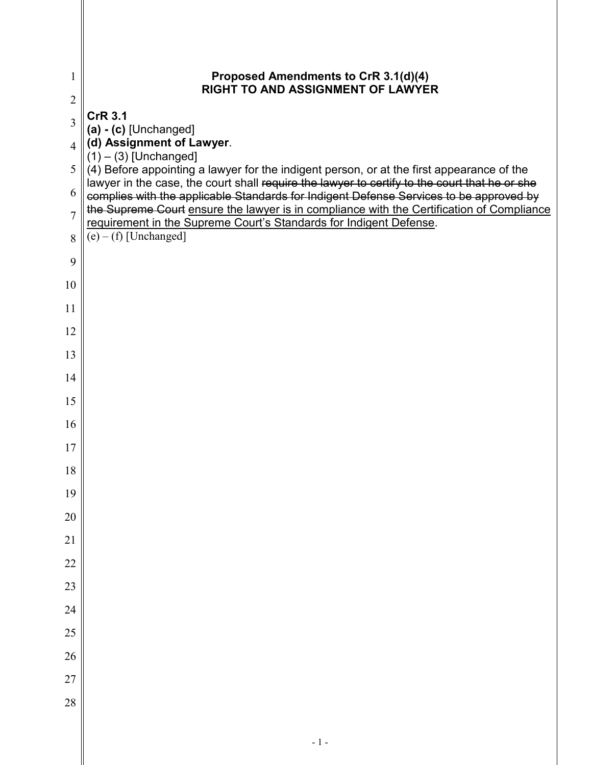| 1              | Proposed Amendments to CrR 3.1(d)(4)<br><b>RIGHT TO AND ASSIGNMENT OF LAWYER</b>                                                                                                        |
|----------------|-----------------------------------------------------------------------------------------------------------------------------------------------------------------------------------------|
| $\overline{2}$ |                                                                                                                                                                                         |
| 3              | <b>CrR 3.1</b><br>$(a) - (c)$ [Unchanged]                                                                                                                                               |
| $\overline{4}$ | (d) Assignment of Lawyer.<br>$(1) - (3)$ [Unchanged]                                                                                                                                    |
| 5              | (4) Before appointing a lawyer for the indigent person, or at the first appearance of the                                                                                               |
| 6              | lawyer in the case, the court shall require the lawyer to certify to the court that he or she<br>complies with the applicable Standards for Indigent Defense Services to be approved by |
| $\overline{7}$ | the Supreme Court ensure the lawyer is in compliance with the Certification of Compliance<br>requirement in the Supreme Court's Standards for Indigent Defense.                         |
| 8              | $(e) - (f)$ [Unchanged]                                                                                                                                                                 |
| 9              |                                                                                                                                                                                         |
| 10             |                                                                                                                                                                                         |
| 11             |                                                                                                                                                                                         |
| 12             |                                                                                                                                                                                         |
| 13             |                                                                                                                                                                                         |
| 14             |                                                                                                                                                                                         |
| 15             |                                                                                                                                                                                         |
| 16             |                                                                                                                                                                                         |
| 17             |                                                                                                                                                                                         |
| 18             |                                                                                                                                                                                         |
| 19             |                                                                                                                                                                                         |
| 20             |                                                                                                                                                                                         |
| 21             |                                                                                                                                                                                         |
| 22             |                                                                                                                                                                                         |
| 23             |                                                                                                                                                                                         |
| 24             |                                                                                                                                                                                         |
| 25             |                                                                                                                                                                                         |
| 26             |                                                                                                                                                                                         |
| 27             |                                                                                                                                                                                         |
| 28             |                                                                                                                                                                                         |
|                |                                                                                                                                                                                         |

║